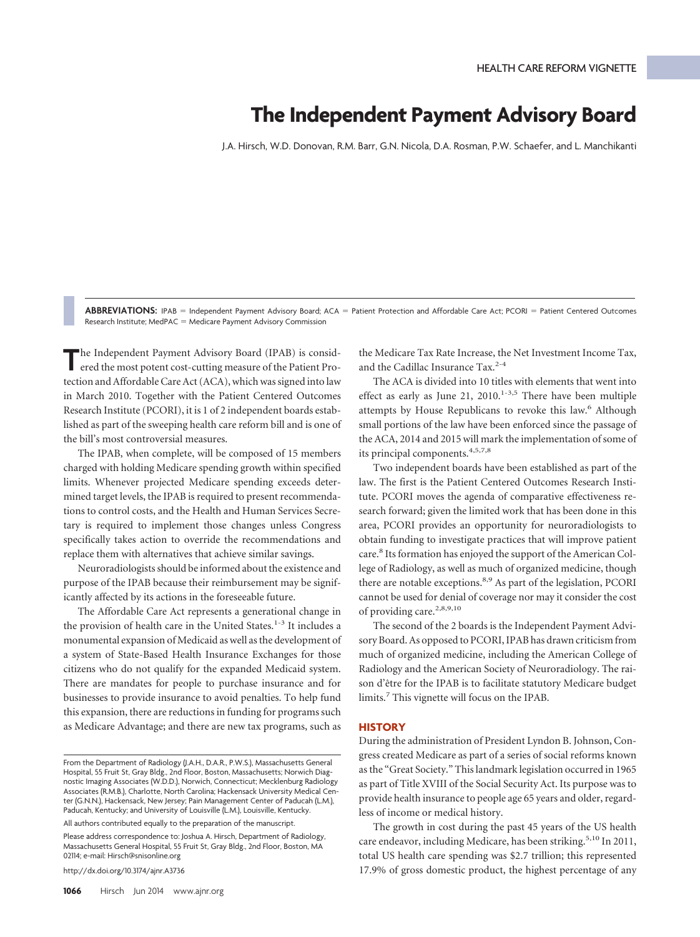# **The Independent Payment Advisory Board**

J.A. Hirsch, W.D. Donovan, R.M. Barr, G.N. Nicola, D.A. Rosman, P.W. Schaefer, and L. Manchikanti

ABBREVIATIONS: IPAB = Independent Payment Advisory Board; ACA = Patient Protection and Affordable Care Act; PCORI = Patient Centered Outcomes Research Institute; MedPAC = Medicare Payment Advisory Commission

The Independent Payment Advisory Board (IPAB) is considered the most potent cost-cutting measure of the Patient Protection and Affordable Care Act (ACA), which was signed into law in March 2010. Together with the Patient Centered Outcomes Research Institute (PCORI), it is 1 of 2 independent boards established as part of the sweeping health care reform bill and is one of the bill's most controversial measures.

The IPAB, when complete, will be composed of 15 members charged with holding Medicare spending growth within specified limits. Whenever projected Medicare spending exceeds determined target levels, the IPAB is required to present recommendations to control costs, and the Health and Human Services Secretary is required to implement those changes unless Congress specifically takes action to override the recommendations and replace them with alternatives that achieve similar savings.

Neuroradiologists should be informed about the existence and purpose of the IPAB because their reimbursement may be significantly affected by its actions in the foreseeable future.

The Affordable Care Act represents a generational change in the provision of health care in the United States.<sup>1-3</sup> It includes a monumental expansion of Medicaid as well as the development of a system of State-Based Health Insurance Exchanges for those citizens who do not qualify for the expanded Medicaid system. There are mandates for people to purchase insurance and for businesses to provide insurance to avoid penalties. To help fund this expansion, there are reductions in funding for programs such as Medicare Advantage; and there are new tax programs, such as

All authors contributed equally to the preparation of the manuscript.

Please address correspondence to: Joshua A. Hirsch, Department of Radiology, Massachusetts General Hospital, 55 Fruit St, Gray Bldg., 2nd Floor, Boston, MA 02114; e-mail: Hirsch@snisonline.org

http://dx.doi.org/10.3174/ajnr.A3736

the Medicare Tax Rate Increase, the Net Investment Income Tax, and the Cadillac Insurance Tax.<sup>2-4</sup>

The ACA is divided into 10 titles with elements that went into effect as early as June 21,  $2010$ .<sup>1-3,5</sup> There have been multiple attempts by House Republicans to revoke this law.<sup>6</sup> Although small portions of the law have been enforced since the passage of the ACA, 2014 and 2015 will mark the implementation of some of its principal components.4,5,7,8

Two independent boards have been established as part of the law. The first is the Patient Centered Outcomes Research Institute. PCORI moves the agenda of comparative effectiveness research forward; given the limited work that has been done in this area, PCORI provides an opportunity for neuroradiologists to obtain funding to investigate practices that will improve patient care.<sup>8</sup> Its formation has enjoyed the support of the American College of Radiology, as well as much of organized medicine, though there are notable exceptions.<sup>8,9</sup> As part of the legislation, PCORI cannot be used for denial of coverage nor may it consider the cost of providing care.<sup>2,8,9,10</sup>

The second of the 2 boards is the Independent Payment Advisory Board. As opposed to PCORI, IPAB has drawn criticism from much of organized medicine, including the American College of Radiology and the American Society of Neuroradiology. The raison d'être for the IPAB is to facilitate statutory Medicare budget limits.7 This vignette will focus on the IPAB.

## **HISTORY**

During the administration of President Lyndon B. Johnson, Congress created Medicare as part of a series of social reforms known as the "Great Society." This landmark legislation occurred in 1965 as part of Title XVIII of the Social Security Act. Its purpose was to provide health insurance to people age 65 years and older, regardless of income or medical history.

The growth in cost during the past 45 years of the US health care endeavor, including Medicare, has been striking.<sup>5,10</sup> In 2011, total US health care spending was \$2.7 trillion; this represented 17.9% of gross domestic product, the highest percentage of any

From the Department of Radiology (J.A.H., D.A.R., P.W.S.), Massachusetts General Hospital, 55 Fruit St, Gray Bldg., 2nd Floor, Boston, Massachusetts; Norwich Diagnostic Imaging Associates (W.D.D.), Norwich, Connecticut; Mecklenburg Radiology Associates (R.M.B.), Charlotte, North Carolina; Hackensack University Medical Center (G.N.N.), Hackensack, New Jersey; Pain Management Center of Paducah (L.M.), Paducah, Kentucky; and University of Louisville (L.M.), Louisville, Kentucky.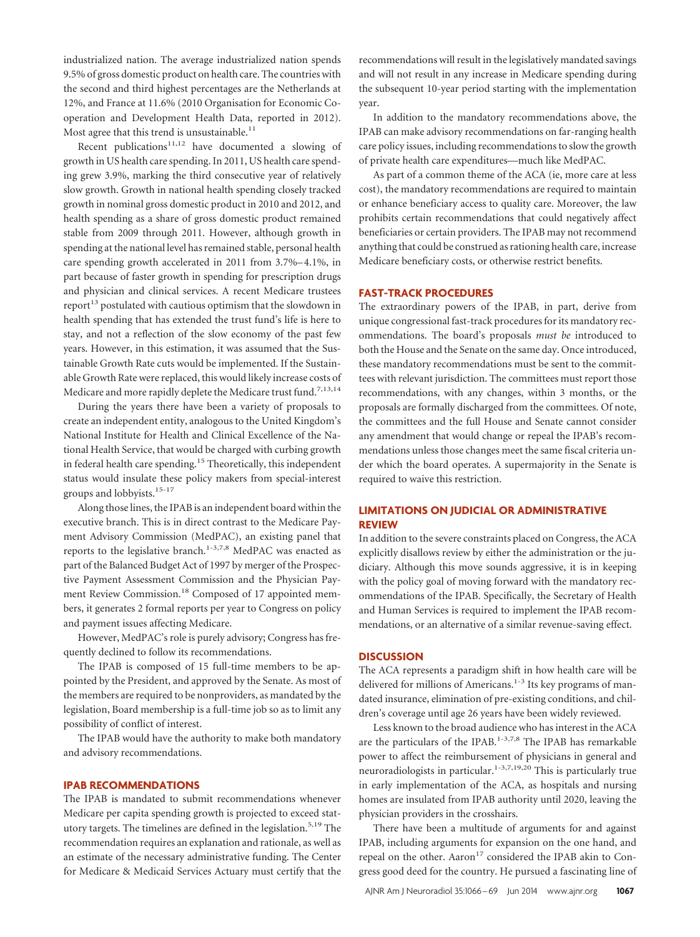industrialized nation. The average industrialized nation spends 9.5% of gross domestic product on health care. The countries with the second and third highest percentages are the Netherlands at 12%, and France at 11.6% (2010 Organisation for Economic Cooperation and Development Health Data, reported in 2012). Most agree that this trend is unsustainable.<sup>11</sup>

Recent publications<sup>11,12</sup> have documented a slowing of growth in US health care spending. In 2011, US health care spending grew 3.9%, marking the third consecutive year of relatively slow growth. Growth in national health spending closely tracked growth in nominal gross domestic product in 2010 and 2012, and health spending as a share of gross domestic product remained stable from 2009 through 2011. However, although growth in spending at the national level has remained stable, personal health care spending growth accelerated in 2011 from 3.7%–4.1%, in part because of faster growth in spending for prescription drugs and physician and clinical services. A recent Medicare trustees report<sup>13</sup> postulated with cautious optimism that the slowdown in health spending that has extended the trust fund's life is here to stay, and not a reflection of the slow economy of the past few years. However, in this estimation, it was assumed that the Sustainable Growth Rate cuts would be implemented. If the Sustainable Growth Rate were replaced, this would likely increase costs of Medicare and more rapidly deplete the Medicare trust fund.<sup>7,13,14</sup>

During the years there have been a variety of proposals to create an independent entity, analogous to the United Kingdom's National Institute for Health and Clinical Excellence of the National Health Service, that would be charged with curbing growth in federal health care spending.<sup>15</sup> Theoretically, this independent status would insulate these policy makers from special-interest groups and lobbyists.<sup>15-17</sup>

Along those lines, the IPAB is an independent board within the executive branch. This is in direct contrast to the Medicare Payment Advisory Commission (MedPAC), an existing panel that reports to the legislative branch.<sup>1-3,7,8</sup> MedPAC was enacted as part of the Balanced Budget Act of 1997 by merger of the Prospective Payment Assessment Commission and the Physician Payment Review Commission.<sup>18</sup> Composed of 17 appointed members, it generates 2 formal reports per year to Congress on policy and payment issues affecting Medicare.

However, MedPAC's role is purely advisory; Congress has frequently declined to follow its recommendations.

The IPAB is composed of 15 full-time members to be appointed by the President, and approved by the Senate. As most of the members are required to be nonproviders, as mandated by the legislation, Board membership is a full-time job so as to limit any possibility of conflict of interest.

The IPAB would have the authority to make both mandatory and advisory recommendations.

## **IPAB RECOMMENDATIONS**

The IPAB is mandated to submit recommendations whenever Medicare per capita spending growth is projected to exceed statutory targets. The timelines are defined in the legislation.<sup>5,19</sup> The recommendation requires an explanation and rationale, as well as an estimate of the necessary administrative funding. The Center for Medicare & Medicaid Services Actuary must certify that the

recommendations will result in the legislatively mandated savings and will not result in any increase in Medicare spending during the subsequent 10-year period starting with the implementation year.

In addition to the mandatory recommendations above, the IPAB can make advisory recommendations on far-ranging health care policy issues, including recommendations to slow the growth of private health care expenditures—much like MedPAC.

As part of a common theme of the ACA (ie, more care at less cost), the mandatory recommendations are required to maintain or enhance beneficiary access to quality care. Moreover, the law prohibits certain recommendations that could negatively affect beneficiaries or certain providers. The IPAB may not recommend anything that could be construed as rationing health care, increase Medicare beneficiary costs, or otherwise restrict benefits.

## **FAST-TRACK PROCEDURES**

The extraordinary powers of the IPAB, in part, derive from unique congressional fast-track procedures for its mandatory recommendations. The board's proposals *must be* introduced to both the House and the Senate on the same day. Once introduced, these mandatory recommendations must be sent to the committees with relevant jurisdiction. The committees must report those recommendations, with any changes, within 3 months, or the proposals are formally discharged from the committees. Of note, the committees and the full House and Senate cannot consider any amendment that would change or repeal the IPAB's recommendations unless those changes meet the same fiscal criteria under which the board operates. A supermajority in the Senate is required to waive this restriction.

# **LIMITATIONS ON JUDICIAL OR ADMINISTRATIVE REVIEW**

In addition to the severe constraints placed on Congress, the ACA explicitly disallows review by either the administration or the judiciary. Although this move sounds aggressive, it is in keeping with the policy goal of moving forward with the mandatory recommendations of the IPAB. Specifically, the Secretary of Health and Human Services is required to implement the IPAB recommendations, or an alternative of a similar revenue-saving effect.

## **DISCUSSION**

The ACA represents a paradigm shift in how health care will be delivered for millions of Americans.<sup>1-3</sup> Its key programs of mandated insurance, elimination of pre-existing conditions, and children's coverage until age 26 years have been widely reviewed.

Less known to the broad audience who has interest in the ACA are the particulars of the IPAB.<sup>1-3,7,8</sup> The IPAB has remarkable power to affect the reimbursement of physicians in general and neuroradiologists in particular.<sup>1-3,7,19,20</sup> This is particularly true in early implementation of the ACA, as hospitals and nursing homes are insulated from IPAB authority until 2020, leaving the physician providers in the crosshairs.

There have been a multitude of arguments for and against IPAB, including arguments for expansion on the one hand, and repeal on the other. Aaron<sup>17</sup> considered the IPAB akin to Congress good deed for the country. He pursued a fascinating line of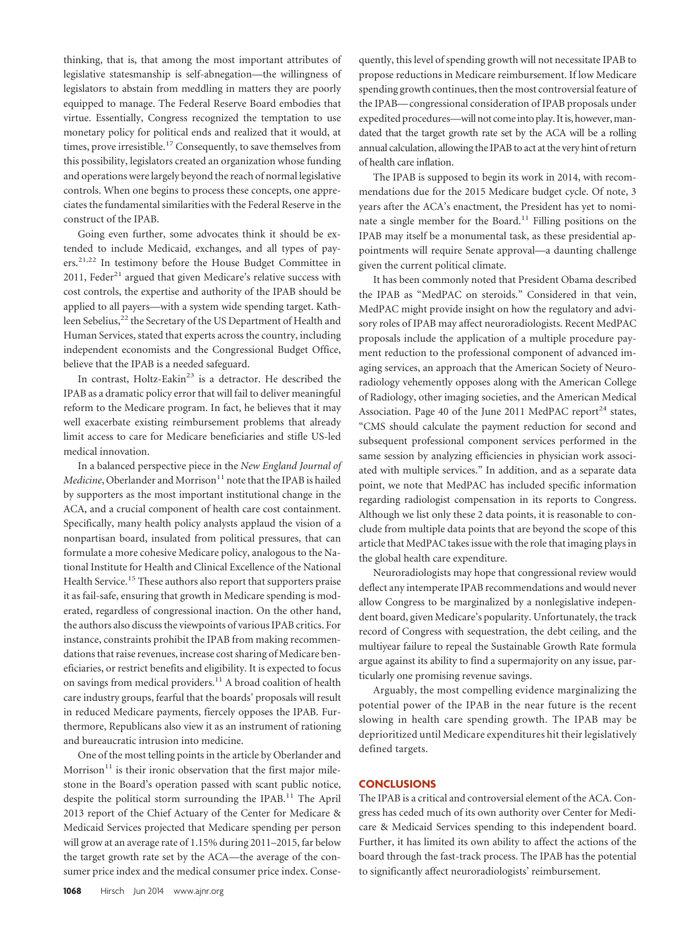thinking, that is, that among the most important attributes of legislative statesmanship is self-abnegation—the willingness of legislators to abstain from meddling in matters they are poorly equipped to manage. The Federal Reserve Board embodies that virtue. Essentially, Congress recognized the temptation to use monetary policy for political ends and realized that it would, at times, prove irresistible.<sup>17</sup> Consequently, to save themselves from this possibility, legislators created an organization whose funding and operations were largely beyond the reach of normal legislative controls. When one begins to process these concepts, one appreciates the fundamental similarities with the Federal Reserve in the construct of the IPAB.

Going even further, some advocates think it should be extended to include Medicaid, exchanges, and all types of payers.<sup>21,22</sup> In testimony before the House Budget Committee in  $2011$ , Feder<sup>21</sup> argued that given Medicare's relative success with cost controls, the expertise and authority of the IPAB should be applied to all payers—with a system wide spending target. Kathleen Sebelius,<sup>22</sup> the Secretary of the US Department of Health and Human Services, stated that experts across the country, including independent economists and the Congressional Budget Office, believe that the IPAB is a needed safeguard.

In contrast, Holtz-Eakin<sup>23</sup> is a detractor. He described the IPAB as a dramatic policy error that will fail to deliver meaningful reform to the Medicare program. In fact, he believes that it may well exacerbate existing reimbursement problems that already limit access to care for Medicare beneficiaries and stifle US-led medical innovation.

In a balanced perspective piece in the *New England Journal of Medicine*, Oberlander and Morrison<sup>11</sup> note that the IPAB is hailed by supporters as the most important institutional change in the ACA, and a crucial component of health care cost containment. Specifically, many health policy analysts applaud the vision of a nonpartisan board, insulated from political pressures, that can formulate a more cohesive Medicare policy, analogous to the National Institute for Health and Clinical Excellence of the National Health Service.<sup>15</sup> These authors also report that supporters praise it as fail-safe, ensuring that growth in Medicare spending is moderated, regardless of congressional inaction. On the other hand, the authors also discuss the viewpoints of various IPAB critics. For instance, constraints prohibit the IPAB from making recommendations that raise revenues, increase cost sharing of Medicare beneficiaries, or restrict benefits and eligibility. It is expected to focus on savings from medical providers.<sup>11</sup> A broad coalition of health care industry groups, fearful that the boards' proposals will result in reduced Medicare payments, fiercely opposes the IPAB. Furthermore, Republicans also view it as an instrument of rationing and bureaucratic intrusion into medicine.

One of the most telling points in the article by Oberlander and Morrison $11$  is their ironic observation that the first major milestone in the Board's operation passed with scant public notice, despite the political storm surrounding the IPAB.<sup>11</sup> The April 2013 report of the Chief Actuary of the Center for Medicare & Medicaid Services projected that Medicare spending per person will grow at an average rate of 1.15% during 2011–2015, far below the target growth rate set by the ACA—the average of the consumer price index and the medical consumer price index. Conse-

**1068** Hirsch Jun 2014 www.ajnr.org

quently, this level of spending growth will not necessitate IPAB to propose reductions in Medicare reimbursement. If low Medicare spending growth continues, then the most controversial feature of the IPAB— congressional consideration of IPAB proposals under expedited procedures—will not come into play. It is, however, mandated that the target growth rate set by the ACA will be a rolling annual calculation, allowing the IPAB to act at the very hint of return of health care inflation.

The IPAB is supposed to begin its work in 2014, with recommendations due for the 2015 Medicare budget cycle. Of note, 3 years after the ACA's enactment, the President has yet to nominate a single member for the Board.<sup>11</sup> Filling positions on the IPAB may itself be a monumental task, as these presidential appointments will require Senate approval—a daunting challenge given the current political climate.

It has been commonly noted that President Obama described the IPAB as "MedPAC on steroids." Considered in that vein, MedPAC might provide insight on how the regulatory and advisory roles of IPAB may affect neuroradiologists. Recent MedPAC proposals include the application of a multiple procedure payment reduction to the professional component of advanced imaging services, an approach that the American Society of Neuroradiology vehemently opposes along with the American College of Radiology, other imaging societies, and the American Medical Association. Page 40 of the June 2011 MedPAC report<sup>24</sup> states, "CMS should calculate the payment reduction for second and subsequent professional component services performed in the same session by analyzing efficiencies in physician work associated with multiple services." In addition, and as a separate data point, we note that MedPAC has included specific information regarding radiologist compensation in its reports to Congress. Although we list only these 2 data points, it is reasonable to conclude from multiple data points that are beyond the scope of this article that MedPAC takes issue with the role that imaging plays in the global health care expenditure.

Neuroradiologists may hope that congressional review would deflect any intemperate IPAB recommendations and would never allow Congress to be marginalized by a nonlegislative independent board, given Medicare's popularity. Unfortunately, the track record of Congress with sequestration, the debt ceiling, and the multiyear failure to repeal the Sustainable Growth Rate formula argue against its ability to find a supermajority on any issue, particularly one promising revenue savings.

Arguably, the most compelling evidence marginalizing the potential power of the IPAB in the near future is the recent slowing in health care spending growth. The IPAB may be deprioritized until Medicare expenditures hit their legislatively defined targets.

### **CONCLUSIONS**

The IPAB is a critical and controversial element of the ACA. Congress has ceded much of its own authority over Center for Medicare & Medicaid Services spending to this independent board. Further, it has limited its own ability to affect the actions of the board through the fast-track process. The IPAB has the potential to significantly affect neuroradiologists' reimbursement.